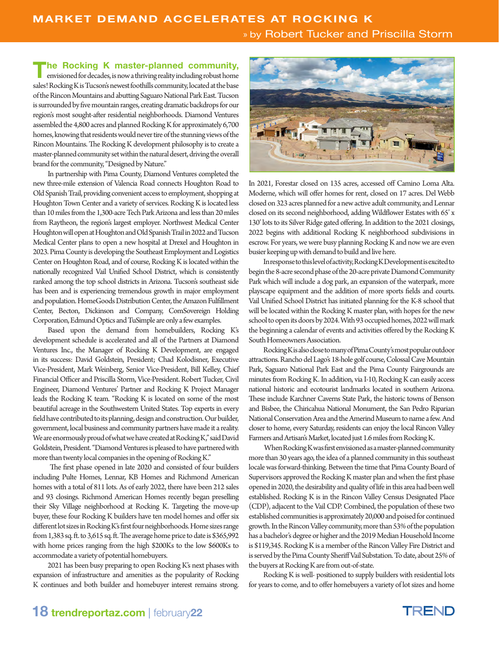**The Rocking K master-planned community,**<br>
envisioned for decades, is now a thriving reality including robust home<br>
in the decades sales! Rocking K is Tucson's newest foothills community, located at the base of the Rincon Mountains and abutting Saguaro National Park East. Tucson is surrounded by five mountain ranges, creating dramatic backdrops for our region's most sought-after residential neighborhoods. Diamond Ventures assembled the 4,800 acres and planned Rocking K for approximately 6,700 homes, knowing that residents would never tire of the stunning views of the Rincon Mountains. The Rocking K development philosophy is to create a master-planned community set within the natural desert, driving the overall brand for the community, "Designed by Nature."

In partnership with Pima County, Diamond Ventures completed the new three-mile extension of Valencia Road connects Houghton Road to Old Spanish Trail, providing convenient access to employment, shopping at Houghton Town Center and a variety of services. Rocking K is located less than 10 miles from the 1,300-acre Tech Park Arizona and less than 20 miles from Raytheon, the region's largest employer. Northwest Medical Center Houghton will open at Houghton and Old Spanish Trail in 2022 and Tucson Medical Center plans to open a new hospital at Drexel and Houghton in 2023. Pima County is developing the Southeast Employment and Logistics Center on Houghton Road, and of course, Rocking K is located within the nationally recognized Vail Unified School District, which is consistently ranked among the top school districts in Arizona. Tucson's southeast side has been and is experiencing tremendous growth in major employment and population. HomeGoods Distribution Center, the Amazon Fulfillment Center, Becton, Dickinson and Company, ComSovereign Holding Corporation, Edmund Optics and TuSimple are only a few examples.

Based upon the demand from homebuilders, Rocking K's development schedule is accelerated and all of the Partners at Diamond Ventures Inc., the Manager of Rocking K Development, are engaged in its success: David Goldstein, President; Chad Kolodisner, Executive Vice-President, Mark Weinberg, Senior Vice-President, Bill Kelley, Chief Financial Officer and Priscilla Storm, Vice-President. Robert Tucker, Civil Engineer, Diamond Ventures' Partner and Rocking K Project Manager leads the Rocking K team. "Rocking K is located on some of the most beautiful acreage in the Southwestern United States. Top experts in every field have contributed to its planning, design and construction. Our builder, government, local business and community partners have made it a reality. We are enormously proud of what we have created at Rocking K," said David Goldstein, President. "Diamond Ventures is pleased to have partnered with more than twenty local companies in the opening of Rocking K."

 The first phase opened in late 2020 and consisted of four builders including Pulte Homes, Lennar, KB Homes and Richmond American homes with a total of 811 lots. As of early 2022, there have been 212 sales and 93 closings. Richmond American Homes recently began preselling their Sky Village neighborhood at Rocking K. Targeting the move-up buyer, these four Rocking K builders have ten model homes and offer six different lot sizes in Rocking K's first four neighborhoods. Home sizes range from 1,383 sq. ft. to 3,615 sq. ft. The average home price to date is \$365,992 with home prices ranging from the high \$200Ks to the low \$600Ks to accommodate a variety of potential homebuyers.

2021 has been busy preparing to open Rocking K's next phases with expansion of infrastructure and amenities as the popularity of Rocking K continues and both builder and homebuyer interest remains strong.



In 2021, Forestar closed on 135 acres, accessed off Camino Loma Alta. Moderne, which will offer homes for rent, closed on 17 acres. Del Webb closed on 323 acres planned for a new active adult community, and Lennar closed on its second neighborhood, adding Wildflower Estates with 65' x 130' lots to its Silver Ridge gated offering. In addition to the 2021 closings, 2022 begins with additional Rocking K neighborhood subdivisions in escrow. For years, we were busy planning Rocking K and now we are even busier keeping up with demand to build and live here.

In response to this level of activity, Rocking K Development is excited to begin the 8-acre second phase of the 20-acre private Diamond Community Park which will include a dog park, an expansion of the waterpark, more playscape equipment and the addition of more sports fields and courts. Vail Unified School District has initiated planning for the K-8 school that will be located within the Rocking K master plan, with hopes for the new school to open its doors by 2024. With 93 occupied homes, 2022 will mark the beginning a calendar of events and activities offered by the Rocking K South Homeowners Association.

Rocking K is also close to many of Pima County's most popular outdoor attractions. Rancho del Lago's 18-hole golf course, Colossal Cave Mountain Park, Saguaro National Park East and the Pima County Fairgrounds are minutes from Rocking K. In addition, via I-10, Rocking K can easily access national historic and ecotourist landmarks located in southern Arizona. These include Karchner Caverns State Park, the historic towns of Benson and Bisbee, the Chiricahua National Monument, the San Pedro Riparian National Conservation Area and the Amerind Museum to name a few. And closer to home, every Saturday, residents can enjoy the local Rincon Valley Farmers and Artisan's Market, located just 1.6 miles from Rocking K.

 When Rocking K was first envisioned as a master-planned community more than 30 years ago, the idea of a planned community in this southeast locale was forward-thinking. Between the time that Pima County Board of Supervisors approved the Rocking K master plan and when the first phase opened in 2020, the desirability and quality of life in this area had been well established. Rocking K is in the Rincon Valley Census Designated Place (CDP), adjacent to the Vail CDP. Combined, the population of these two established communities is approximately 20,000 and poised for continued growth. In the Rincon Valley community, more than 53% of the population has a bachelor's degree or higher and the 2019 Median Household Income is \$119,345. Rocking K is a member of the Rincon Valley Fire District and is served by the Pima County Sheriff Vail Substation. To date, about 25% of the buyers at Rocking K are from out-of-state.

Rocking K is well- positioned to supply builders with residential lots for years to come, and to offer homebuyers a variety of lot sizes and home